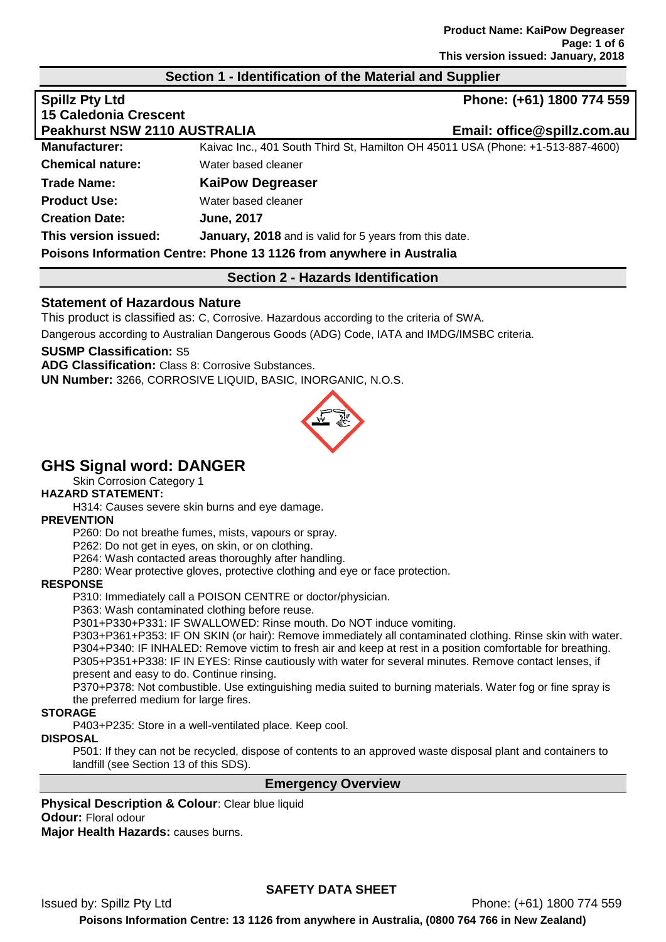#### **Section 1 - Identification of the Material and Supplier**

| <b>Spillz Pty Ltd</b>               |                                                                                 | Phone: (+61) 1800 774 559   |
|-------------------------------------|---------------------------------------------------------------------------------|-----------------------------|
| <b>15 Caledonia Crescent</b>        |                                                                                 |                             |
| <b>Peakhurst NSW 2110 AUSTRALIA</b> |                                                                                 | Email: office@spillz.com.au |
| <b>Manufacturer:</b>                | Kaivac Inc., 401 South Third St, Hamilton OH 45011 USA (Phone: +1-513-887-4600) |                             |
| <b>Chemical nature:</b>             | Water based cleaner                                                             |                             |
| <b>Trade Name:</b>                  | <b>KaiPow Degreaser</b>                                                         |                             |
| <b>Product Use:</b>                 | Water based cleaner                                                             |                             |
| <b>Creation Date:</b>               | <b>June, 2017</b>                                                               |                             |
| This version issued:                | <b>January, 2018</b> and is valid for 5 years from this date.                   |                             |
|                                     | Poisons Information Centre: Phone 13 1126 from anywhere in Australia            |                             |

#### **Section 2 - Hazards Identification**

#### **Statement of Hazardous Nature**

This product is classified as: C, Corrosive. Hazardous according to the criteria of SWA.

Dangerous according to Australian Dangerous Goods (ADG) Code, IATA and IMDG/IMSBC criteria.

#### **SUSMP Classification:** S5

**ADG Classification:** Class 8: Corrosive Substances. **UN Number:** 3266, CORROSIVE LIQUID, BASIC, INORGANIC, N.O.S.



# **GHS Signal word: DANGER**

Skin Corrosion Category 1

#### **HAZARD STATEMENT:**

H314: Causes severe skin burns and eye damage.

#### **PREVENTION**

P260: Do not breathe fumes, mists, vapours or spray.

P262: Do not get in eyes, on skin, or on clothing.

P264: Wash contacted areas thoroughly after handling.

P280: Wear protective gloves, protective clothing and eye or face protection.

#### **RESPONSE**

P310: Immediately call a POISON CENTRE or doctor/physician.

P363: Wash contaminated clothing before reuse.

P301+P330+P331: IF SWALLOWED: Rinse mouth. Do NOT induce vomiting.

P303+P361+P353: IF ON SKIN (or hair): Remove immediately all contaminated clothing. Rinse skin with water. P304+P340: IF INHALED: Remove victim to fresh air and keep at rest in a position comfortable for breathing. P305+P351+P338: IF IN EYES: Rinse cautiously with water for several minutes. Remove contact lenses, if present and easy to do. Continue rinsing.

P370+P378: Not combustible. Use extinguishing media suited to burning materials. Water fog or fine spray is the preferred medium for large fires.

#### **STORAGE**

P403+P235: Store in a well-ventilated place. Keep cool.

#### **DISPOSAL**

P501: If they can not be recycled, dispose of contents to an approved waste disposal plant and containers to landfill (see Section 13 of this SDS).

#### **Emergency Overview**

**Physical Description & Colour: Clear blue liquid Odour:** Floral odour **Major Health Hazards:** causes burns.

# **SAFETY DATA SHEET**

Issued by: Spillz Pty Ltd Phone: (+61) 1800 774 559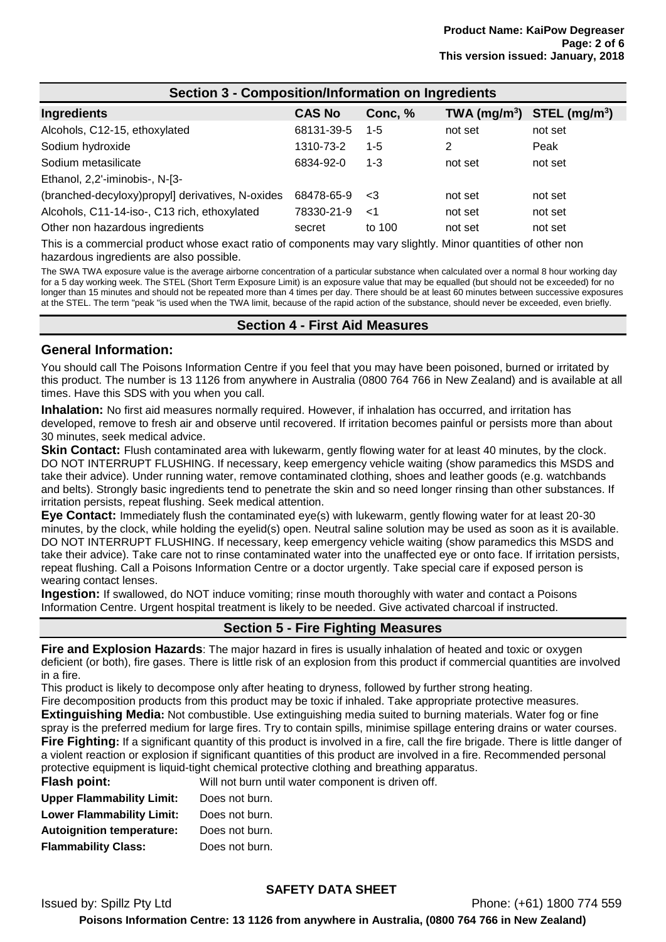| Section 3 - Composition/Information on Ingredients |               |         |                          |                             |
|----------------------------------------------------|---------------|---------|--------------------------|-----------------------------|
| Ingredients                                        | <b>CAS No</b> | Conc, % | TWA (mg/m <sup>3</sup> ) | $STEL$ (mg/m <sup>3</sup> ) |
| Alcohols, C12-15, ethoxylated                      | 68131-39-5    | $1 - 5$ | not set                  | not set                     |
| Sodium hydroxide                                   | 1310-73-2     | $1 - 5$ | 2                        | Peak                        |
| Sodium metasilicate                                | 6834-92-0     | $1 - 3$ | not set                  | not set                     |
| Ethanol, 2,2'-iminobis-, N-[3-                     |               |         |                          |                             |
| (branched-decyloxy) propyl] derivatives, N-oxides  | 68478-65-9    | -3      | not set                  | not set                     |
| Alcohols, C11-14-iso-, C13 rich, ethoxylated       | 78330-21-9    | <1      | not set                  | not set                     |
| Other non hazardous ingredients                    | secret        | to 100  | not set                  | not set                     |

This is a commercial product whose exact ratio of components may vary slightly. Minor quantities of other non hazardous ingredients are also possible.

The SWA TWA exposure value is the average airborne concentration of a particular substance when calculated over a normal 8 hour working day for a 5 day working week. The STEL (Short Term Exposure Limit) is an exposure value that may be equalled (but should not be exceeded) for no longer than 15 minutes and should not be repeated more than 4 times per day. There should be at least 60 minutes between successive exposures at the STEL. The term "peak "is used when the TWA limit, because of the rapid action of the substance, should never be exceeded, even briefly.

#### **Section 4 - First Aid Measures**

#### **General Information:**

You should call The Poisons Information Centre if you feel that you may have been poisoned, burned or irritated by this product. The number is 13 1126 from anywhere in Australia (0800 764 766 in New Zealand) and is available at all times. Have this SDS with you when you call.

**Inhalation:** No first aid measures normally required. However, if inhalation has occurred, and irritation has developed, remove to fresh air and observe until recovered. If irritation becomes painful or persists more than about 30 minutes, seek medical advice.

**Skin Contact:** Flush contaminated area with lukewarm, gently flowing water for at least 40 minutes, by the clock. DO NOT INTERRUPT FLUSHING. If necessary, keep emergency vehicle waiting (show paramedics this MSDS and take their advice). Under running water, remove contaminated clothing, shoes and leather goods (e.g. watchbands and belts). Strongly basic ingredients tend to penetrate the skin and so need longer rinsing than other substances. If irritation persists, repeat flushing. Seek medical attention.

**Eye Contact:** Immediately flush the contaminated eye(s) with lukewarm, gently flowing water for at least 20-30 minutes, by the clock, while holding the eyelid(s) open. Neutral saline solution may be used as soon as it is available. DO NOT INTERRUPT FLUSHING. If necessary, keep emergency vehicle waiting (show paramedics this MSDS and take their advice). Take care not to rinse contaminated water into the unaffected eye or onto face. If irritation persists, repeat flushing. Call a Poisons Information Centre or a doctor urgently. Take special care if exposed person is wearing contact lenses.

**Ingestion:** If swallowed, do NOT induce vomiting; rinse mouth thoroughly with water and contact a Poisons Information Centre. Urgent hospital treatment is likely to be needed. Give activated charcoal if instructed.

# **Section 5 - Fire Fighting Measures**

**Fire and Explosion Hazards**: The major hazard in fires is usually inhalation of heated and toxic or oxygen deficient (or both), fire gases. There is little risk of an explosion from this product if commercial quantities are involved in a fire.

This product is likely to decompose only after heating to dryness, followed by further strong heating.

Fire decomposition products from this product may be toxic if inhaled. Take appropriate protective measures. **Extinguishing Media:** Not combustible. Use extinguishing media suited to burning materials. Water fog or fine spray is the preferred medium for large fires. Try to contain spills, minimise spillage entering drains or water courses. **Fire Fighting:** If a significant quantity of this product is involved in a fire, call the fire brigade. There is little danger of a violent reaction or explosion if significant quantities of this product are involved in a fire. Recommended personal protective equipment is liquid-tight chemical protective clothing and breathing apparatus. is driven off.

| <b>Flash point:</b>              | Will not burn until water component is |
|----------------------------------|----------------------------------------|
| <b>Upper Flammability Limit:</b> | Does not burn.                         |
| <b>Lower Flammability Limit:</b> | Does not burn.                         |
| <b>Autoignition temperature:</b> | Does not burn.                         |
| <b>Flammability Class:</b>       | Does not burn.                         |

# **SAFETY DATA SHEET**

Issued by: Spillz Pty Ltd Phone: (+61) 1800 774 559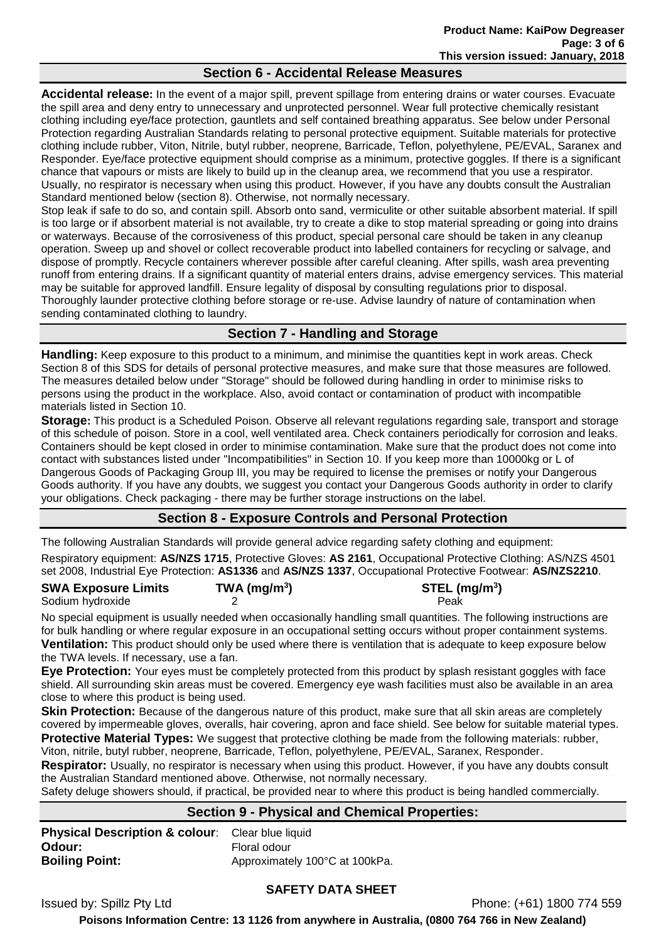#### **Section 6 - Accidental Release Measures**

**Accidental release:** In the event of a major spill, prevent spillage from entering drains or water courses. Evacuate the spill area and deny entry to unnecessary and unprotected personnel. Wear full protective chemically resistant clothing including eye/face protection, gauntlets and self contained breathing apparatus. See below under Personal Protection regarding Australian Standards relating to personal protective equipment. Suitable materials for protective clothing include rubber, Viton, Nitrile, butyl rubber, neoprene, Barricade, Teflon, polyethylene, PE/EVAL, Saranex and Responder. Eye/face protective equipment should comprise as a minimum, protective goggles. If there is a significant chance that vapours or mists are likely to build up in the cleanup area, we recommend that you use a respirator. Usually, no respirator is necessary when using this product. However, if you have any doubts consult the Australian Standard mentioned below (section 8). Otherwise, not normally necessary.

Stop leak if safe to do so, and contain spill. Absorb onto sand, vermiculite or other suitable absorbent material. If spill is too large or if absorbent material is not available, try to create a dike to stop material spreading or going into drains or waterways. Because of the corrosiveness of this product, special personal care should be taken in any cleanup operation. Sweep up and shovel or collect recoverable product into labelled containers for recycling or salvage, and dispose of promptly. Recycle containers wherever possible after careful cleaning. After spills, wash area preventing runoff from entering drains. If a significant quantity of material enters drains, advise emergency services. This material may be suitable for approved landfill. Ensure legality of disposal by consulting regulations prior to disposal. Thoroughly launder protective clothing before storage or re-use. Advise laundry of nature of contamination when sending contaminated clothing to laundry.

# **Section 7 - Handling and Storage**

**Handling:** Keep exposure to this product to a minimum, and minimise the quantities kept in work areas. Check Section 8 of this SDS for details of personal protective measures, and make sure that those measures are followed. The measures detailed below under "Storage" should be followed during handling in order to minimise risks to persons using the product in the workplace. Also, avoid contact or contamination of product with incompatible materials listed in Section 10.

**Storage:** This product is a Scheduled Poison. Observe all relevant regulations regarding sale, transport and storage of this schedule of poison. Store in a cool, well ventilated area. Check containers periodically for corrosion and leaks. Containers should be kept closed in order to minimise contamination. Make sure that the product does not come into contact with substances listed under "Incompatibilities" in Section 10. If you keep more than 10000kg or L of Dangerous Goods of Packaging Group III, you may be required to license the premises or notify your Dangerous Goods authority. If you have any doubts, we suggest you contact your Dangerous Goods authority in order to clarify your obligations. Check packaging - there may be further storage instructions on the label.

# **Section 8 - Exposure Controls and Personal Protection**

The following Australian Standards will provide general advice regarding safety clothing and equipment:

Respiratory equipment: **AS/NZS 1715**, Protective Gloves: **AS 2161**, Occupational Protective Clothing: AS/NZS 4501 set 2008, Industrial Eye Protection: **AS1336** and **AS/NZS 1337**, Occupational Protective Footwear: **AS/NZS2210**.

| <b>SWA Exposure Limits</b> | TWA ( $mg/m3$ ) | $STEL$ (mg/m <sup>3</sup> ) |
|----------------------------|-----------------|-----------------------------|
| Sodium hydroxide           |                 | Peak                        |

No special equipment is usually needed when occasionally handling small quantities. The following instructions are for bulk handling or where regular exposure in an occupational setting occurs without proper containment systems. **Ventilation:** This product should only be used where there is ventilation that is adequate to keep exposure below the TWA levels. If necessary, use a fan.

**Eye Protection:** Your eyes must be completely protected from this product by splash resistant goggles with face shield. All surrounding skin areas must be covered. Emergency eye wash facilities must also be available in an area close to where this product is being used.

**Skin Protection:** Because of the dangerous nature of this product, make sure that all skin areas are completely covered by impermeable gloves, overalls, hair covering, apron and face shield. See below for suitable material types. **Protective Material Types:** We suggest that protective clothing be made from the following materials: rubber, Viton, nitrile, butyl rubber, neoprene, Barricade, Teflon, polyethylene, PE/EVAL, Saranex, Responder.

**Respirator:** Usually, no respirator is necessary when using this product. However, if you have any doubts consult the Australian Standard mentioned above. Otherwise, not normally necessary.

Safety deluge showers should, if practical, be provided near to where this product is being handled commercially.

# **Section 9 - Physical and Chemical Properties:**

**Physical Description & colour:** Clear blue liquid **Odour:** Floral odour **Boiling Point:** Approximately 100°C at 100kPa.

#### **SAFETY DATA SHEET**

Issued by: Spillz Pty Ltd Phone: (+61) 1800 774 559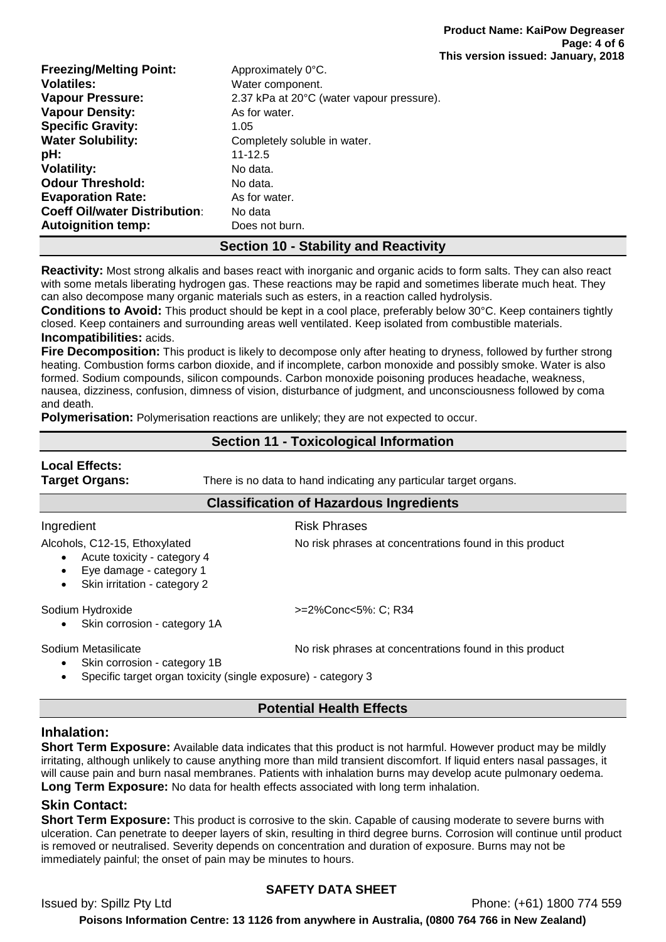| <b>Freezing/Melting Point:</b>       | Approximately 0°C.                        |
|--------------------------------------|-------------------------------------------|
| <b>Volatiles:</b>                    | Water component.                          |
| <b>Vapour Pressure:</b>              | 2.37 kPa at 20°C (water vapour pressure). |
| <b>Vapour Density:</b>               | As for water.                             |
| <b>Specific Gravity:</b>             | 1.05                                      |
| <b>Water Solubility:</b>             | Completely soluble in water.              |
| pH:                                  | $11 - 12.5$                               |
| <b>Volatility:</b>                   | No data.                                  |
| <b>Odour Threshold:</b>              | No data.                                  |
| <b>Evaporation Rate:</b>             | As for water.                             |
| <b>Coeff Oil/water Distribution:</b> | No data                                   |
| <b>Autoignition temp:</b>            | Does not burn.                            |

# **Section 10 - Stability and Reactivity**

**Reactivity:** Most strong alkalis and bases react with inorganic and organic acids to form salts. They can also react with some metals liberating hydrogen gas. These reactions may be rapid and sometimes liberate much heat. They can also decompose many organic materials such as esters, in a reaction called hydrolysis.

**Conditions to Avoid:** This product should be kept in a cool place, preferably below 30°C. Keep containers tightly closed. Keep containers and surrounding areas well ventilated. Keep isolated from combustible materials. **Incompatibilities:** acids.

**Fire Decomposition:** This product is likely to decompose only after heating to dryness, followed by further strong heating. Combustion forms carbon dioxide, and if incomplete, carbon monoxide and possibly smoke. Water is also formed. Sodium compounds, silicon compounds. Carbon monoxide poisoning produces headache, weakness, nausea, dizziness, confusion, dimness of vision, disturbance of judgment, and unconsciousness followed by coma and death.

**Polymerisation:** Polymerisation reactions are unlikely; they are not expected to occur.

# **Section 11 - Toxicological Information**

# **Local Effects:**

**Target Organs:** There is no data to hand indicating any particular target organs.

#### **Classification of Hazardous Ingredients**

#### Ingredient **Risk Phrases**

Alcohols, C12-15, Ethoxylated No risk phrases at concentrations found in this product

- Acute toxicity category 4
- Eye damage category 1
- Skin irritation category 2

Sodium Hydroxide  $\rightarrow$  =2%Conc<5%: C; R34

Skin corrosion - category 1A

Sodium Metasilicate Notation and No risk phrases at concentrations found in this product

Skin corrosion - category 1B

• Specific target organ toxicity (single exposure) - category 3

# **Potential Health Effects**

# **Inhalation:**

**Short Term Exposure:** Available data indicates that this product is not harmful. However product may be mildly irritating, although unlikely to cause anything more than mild transient discomfort. If liquid enters nasal passages, it will cause pain and burn nasal membranes. Patients with inhalation burns may develop acute pulmonary oedema. **Long Term Exposure:** No data for health effects associated with long term inhalation.

# **Skin Contact:**

**Short Term Exposure:** This product is corrosive to the skin. Capable of causing moderate to severe burns with ulceration. Can penetrate to deeper layers of skin, resulting in third degree burns. Corrosion will continue until product is removed or neutralised. Severity depends on concentration and duration of exposure. Burns may not be immediately painful; the onset of pain may be minutes to hours.

# **SAFETY DATA SHEET**

Issued by: Spillz Pty Ltd Phone: (+61) 1800 774 559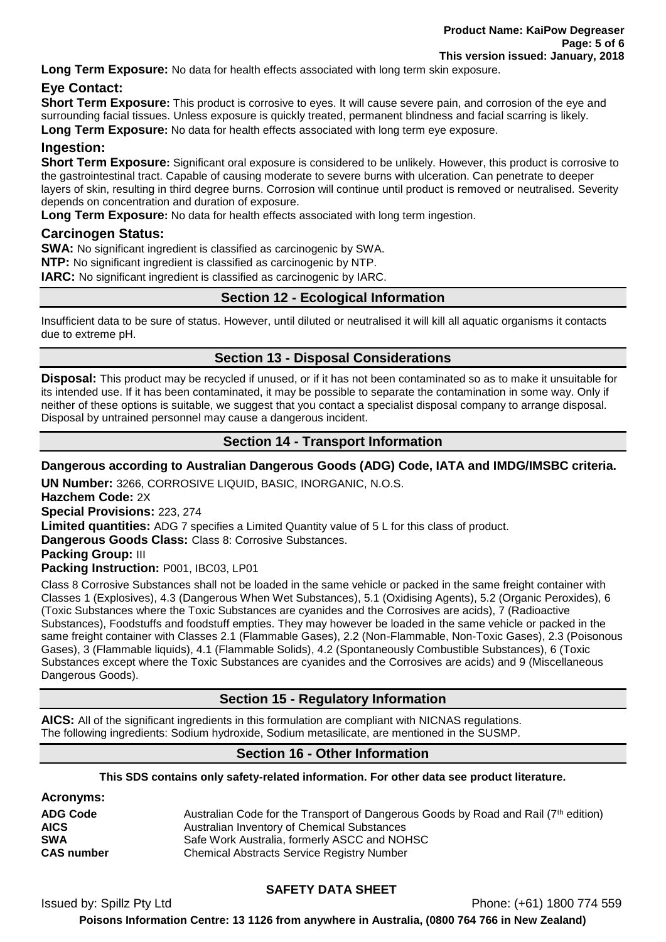**Long Term Exposure:** No data for health effects associated with long term skin exposure.

### **Eye Contact:**

**Short Term Exposure:** This product is corrosive to eyes. It will cause severe pain, and corrosion of the eye and surrounding facial tissues. Unless exposure is quickly treated, permanent blindness and facial scarring is likely. **Long Term Exposure:** No data for health effects associated with long term eye exposure.

### **Ingestion:**

**Short Term Exposure:** Significant oral exposure is considered to be unlikely. However, this product is corrosive to the gastrointestinal tract. Capable of causing moderate to severe burns with ulceration. Can penetrate to deeper layers of skin, resulting in third degree burns. Corrosion will continue until product is removed or neutralised. Severity depends on concentration and duration of exposure.

**Long Term Exposure:** No data for health effects associated with long term ingestion.

#### **Carcinogen Status:**

**SWA:** No significant ingredient is classified as carcinogenic by SWA.

**NTP:** No significant ingredient is classified as carcinogenic by NTP.

**IARC:** No significant ingredient is classified as carcinogenic by IARC.

# **Section 12 - Ecological Information**

Insufficient data to be sure of status. However, until diluted or neutralised it will kill all aquatic organisms it contacts due to extreme pH.

# **Section 13 - Disposal Considerations**

**Disposal:** This product may be recycled if unused, or if it has not been contaminated so as to make it unsuitable for its intended use. If it has been contaminated, it may be possible to separate the contamination in some way. Only if neither of these options is suitable, we suggest that you contact a specialist disposal company to arrange disposal. Disposal by untrained personnel may cause a dangerous incident.

# **Section 14 - Transport Information**

#### **Dangerous according to Australian Dangerous Goods (ADG) Code, IATA and IMDG/IMSBC criteria.**

**UN Number:** 3266, CORROSIVE LIQUID, BASIC, INORGANIC, N.O.S.

**Hazchem Code:** 2X

**Special Provisions:** 223, 274

**Limited quantities:** ADG 7 specifies a Limited Quantity value of 5 L for this class of product.

**Dangerous Goods Class:** Class 8: Corrosive Substances.

**Packing Group:** III

**Packing Instruction:** P001, IBC03, LP01

Class 8 Corrosive Substances shall not be loaded in the same vehicle or packed in the same freight container with Classes 1 (Explosives), 4.3 (Dangerous When Wet Substances), 5.1 (Oxidising Agents), 5.2 (Organic Peroxides), 6 (Toxic Substances where the Toxic Substances are cyanides and the Corrosives are acids), 7 (Radioactive Substances), Foodstuffs and foodstuff empties. They may however be loaded in the same vehicle or packed in the same freight container with Classes 2.1 (Flammable Gases), 2.2 (Non-Flammable, Non-Toxic Gases), 2.3 (Poisonous Gases), 3 (Flammable liquids), 4.1 (Flammable Solids), 4.2 (Spontaneously Combustible Substances), 6 (Toxic Substances except where the Toxic Substances are cyanides and the Corrosives are acids) and 9 (Miscellaneous Dangerous Goods).

# **Section 15 - Regulatory Information**

**AICS:** All of the significant ingredients in this formulation are compliant with NICNAS regulations. The following ingredients: Sodium hydroxide, Sodium metasilicate, are mentioned in the SUSMP.

# **Section 16 - Other Information**

#### **This SDS contains only safety-related information. For other data see product literature.**

| <b>Acronyms:</b>  |                                                                                     |
|-------------------|-------------------------------------------------------------------------------------|
| <b>ADG Code</b>   | Australian Code for the Transport of Dangerous Goods by Road and Rail (7th edition) |
| <b>AICS</b>       | Australian Inventory of Chemical Substances                                         |
| <b>SWA</b>        | Safe Work Australia, formerly ASCC and NOHSC                                        |
| <b>CAS number</b> | <b>Chemical Abstracts Service Registry Number</b>                                   |

# **SAFETY DATA SHEET**

Issued by: Spillz Pty Ltd Phone: (+61) 1800 774 559